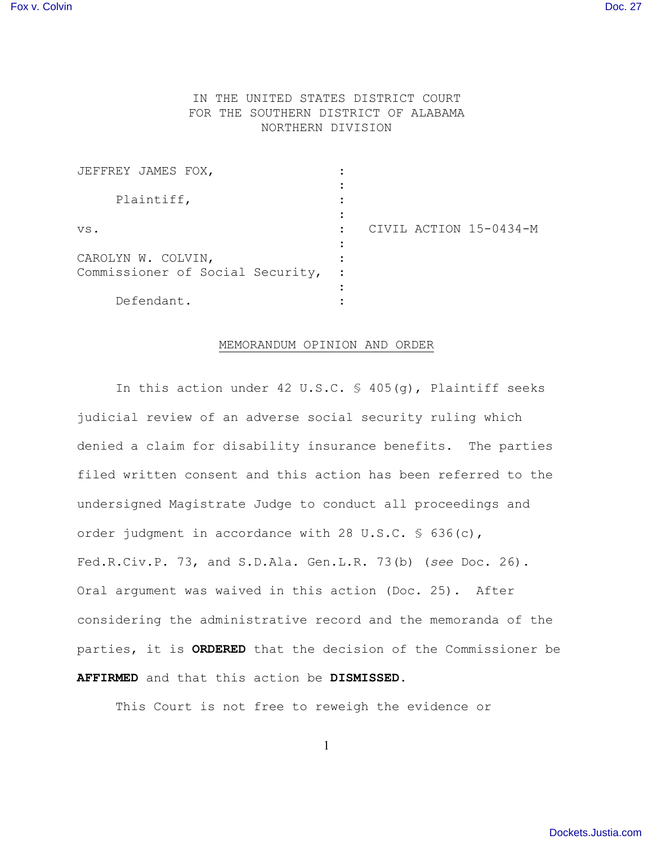## IN THE UNITED STATES DISTRICT COURT FOR THE SOUTHERN DISTRICT OF ALABAMA NORTHERN DIVISION

| JEFFREY JAMES FOX,               |  |                        |
|----------------------------------|--|------------------------|
| Plaintiff,                       |  |                        |
|                                  |  |                        |
| VS.                              |  | CIVIL ACTION 15-0434-M |
|                                  |  |                        |
| CAROLYN W. COLVIN,               |  |                        |
| Commissioner of Social Security, |  |                        |
|                                  |  |                        |
| Defendant.                       |  |                        |

## MEMORANDUM OPINION AND ORDER

In this action under 42 U.S.C. § 405(g), Plaintiff seeks judicial review of an adverse social security ruling which denied a claim for disability insurance benefits. The parties filed written consent and this action has been referred to the undersigned Magistrate Judge to conduct all proceedings and order judgment in accordance with 28 U.S.C. § 636(c), Fed.R.Civ.P. 73, and S.D.Ala. Gen.L.R. 73(b) (*see* Doc. 26). Oral argument was waived in this action (Doc. 25). After considering the administrative record and the memoranda of the parties, it is **ORDERED** that the decision of the Commissioner be **AFFIRMED** and that this action be **DISMISSED**.

This Court is not free to reweigh the evidence or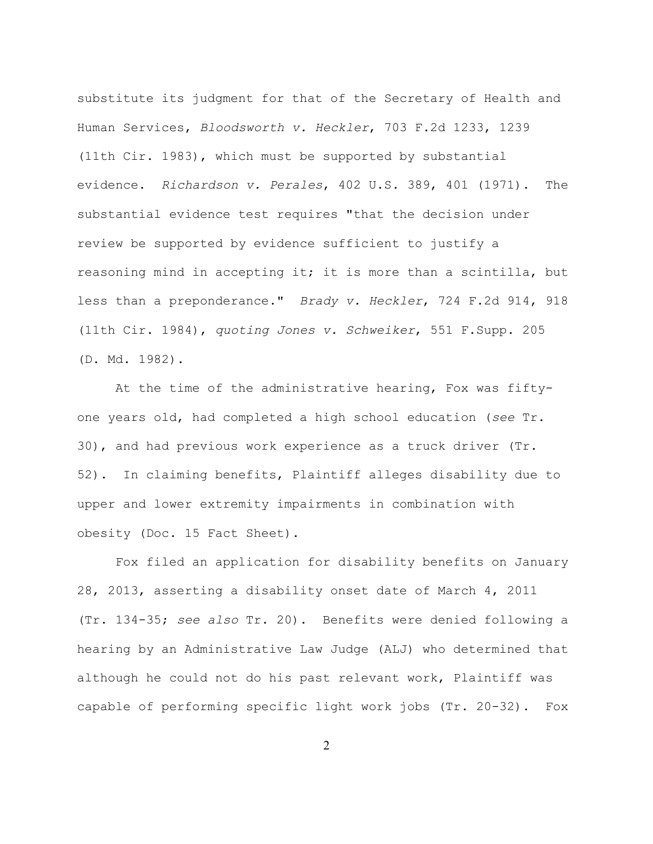substitute its judgment for that of the Secretary of Health and Human Services, *Bloodsworth v. Heckler*, 703 F.2d 1233, 1239 (11th Cir. 1983), which must be supported by substantial evidence. *Richardson v. Perales*, 402 U.S. 389, 401 (1971). The substantial evidence test requires "that the decision under review be supported by evidence sufficient to justify a reasoning mind in accepting it; it is more than a scintilla, but less than a preponderance." *Brady v. Heckler*, 724 F.2d 914, 918 (11th Cir. 1984), *quoting Jones v. Schweiker*, 551 F.Supp. 205 (D. Md. 1982).

At the time of the administrative hearing, Fox was fiftyone years old, had completed a high school education (*see* Tr. 30), and had previous work experience as a truck driver (Tr. 52). In claiming benefits, Plaintiff alleges disability due to upper and lower extremity impairments in combination with obesity (Doc. 15 Fact Sheet).

Fox filed an application for disability benefits on January 28, 2013, asserting a disability onset date of March 4, 2011 (Tr. 134-35; *see also* Tr. 20). Benefits were denied following a hearing by an Administrative Law Judge (ALJ) who determined that although he could not do his past relevant work, Plaintiff was capable of performing specific light work jobs (Tr. 20-32). Fox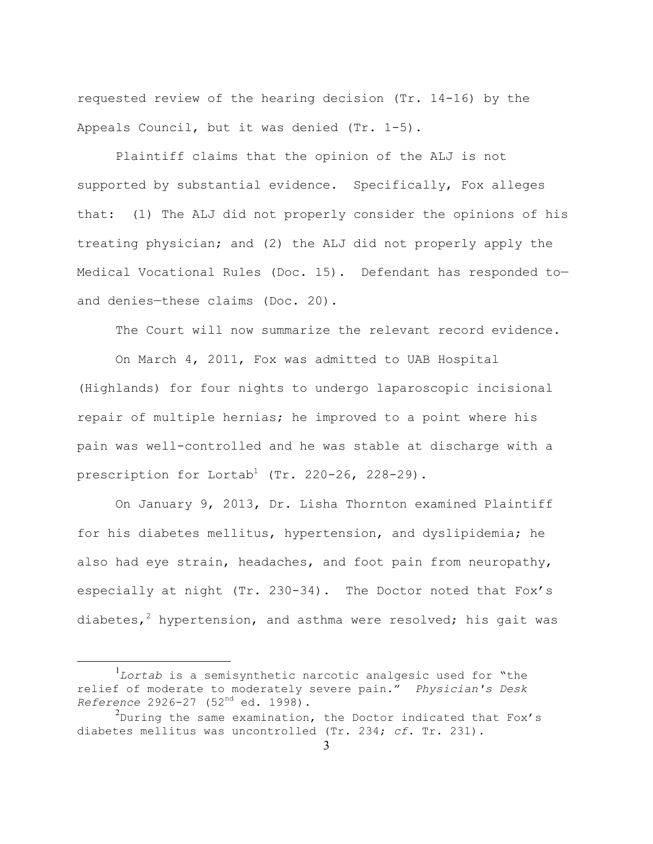requested review of the hearing decision (Tr. 14-16) by the Appeals Council, but it was denied (Tr. 1-5).

Plaintiff claims that the opinion of the ALJ is not supported by substantial evidence. Specifically, Fox alleges that: (1) The ALJ did not properly consider the opinions of his treating physician; and (2) the ALJ did not properly apply the Medical Vocational Rules (Doc. 15). Defendant has responded to and denies—these claims (Doc. 20).

The Court will now summarize the relevant record evidence.

On March 4, 2011, Fox was admitted to UAB Hospital (Highlands) for four nights to undergo laparoscopic incisional repair of multiple hernias; he improved to a point where his pain was well-controlled and he was stable at discharge with a prescription for Lortab<sup>1</sup> (Tr. 220-26, 228-29).

On January 9, 2013, Dr. Lisha Thornton examined Plaintiff for his diabetes mellitus, hypertension, and dyslipidemia; he also had eye strain, headaches, and foot pain from neuropathy, especially at night (Tr. 230-34). The Doctor noted that Fox's diabetes,<sup>2</sup> hypertension, and asthma were resolved; his gait was

 $\frac{1}{1}$ *Lortab* is a semisynthetic narcotic analgesic used for "the relief of moderate to moderately severe pain." *Physician's Desk Reference* 2926-27 (52nd ed. 1998).

 $^2$ During the same examination, the Doctor indicated that Fox's diabetes mellitus was uncontrolled (Tr. 234; *cf.* Tr. 231).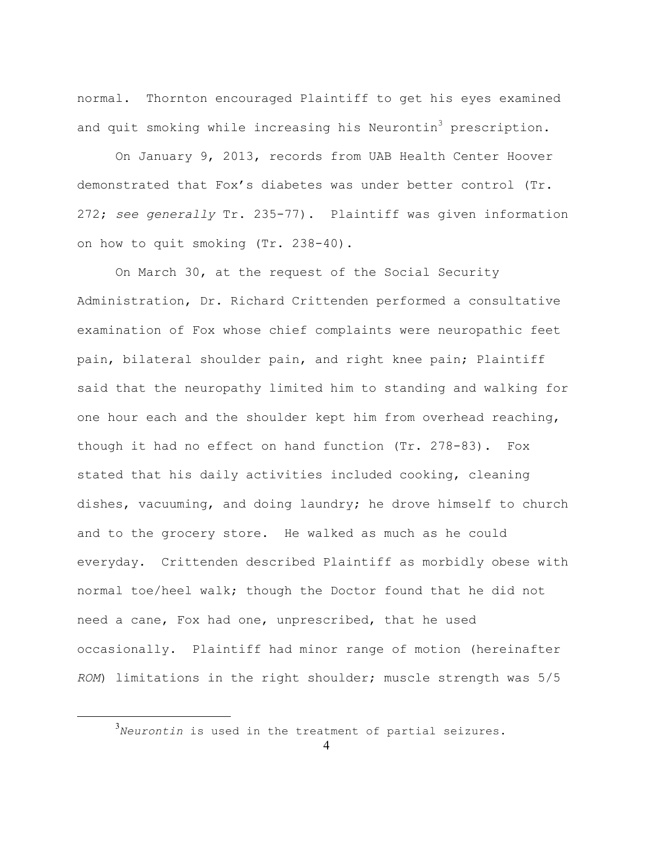normal. Thornton encouraged Plaintiff to get his eyes examined and quit smoking while increasing his Neurontin<sup>3</sup> prescription.

On January 9, 2013, records from UAB Health Center Hoover demonstrated that Fox's diabetes was under better control (Tr. 272; *see generally* Tr. 235-77). Plaintiff was given information on how to quit smoking (Tr. 238-40).

On March 30, at the request of the Social Security Administration, Dr. Richard Crittenden performed a consultative examination of Fox whose chief complaints were neuropathic feet pain, bilateral shoulder pain, and right knee pain; Plaintiff said that the neuropathy limited him to standing and walking for one hour each and the shoulder kept him from overhead reaching, though it had no effect on hand function (Tr. 278-83). Fox stated that his daily activities included cooking, cleaning dishes, vacuuming, and doing laundry; he drove himself to church and to the grocery store. He walked as much as he could everyday. Crittenden described Plaintiff as morbidly obese with normal toe/heel walk; though the Doctor found that he did not need a cane, Fox had one, unprescribed, that he used occasionally. Plaintiff had minor range of motion (hereinafter *ROM*) limitations in the right shoulder; muscle strength was 5/5

 $\frac{1}{3}$ *Neurontin* is used in the treatment of partial seizures.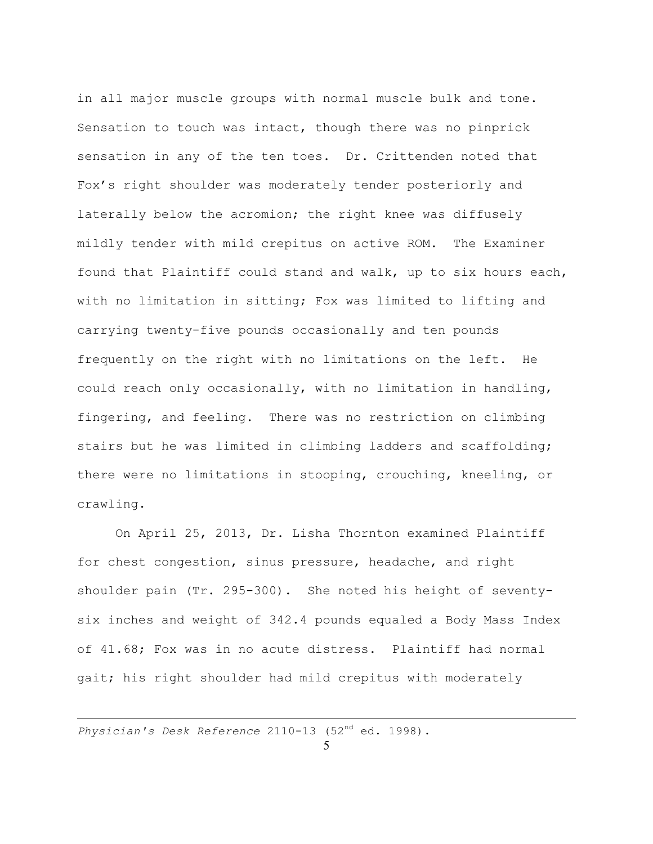in all major muscle groups with normal muscle bulk and tone. Sensation to touch was intact, though there was no pinprick sensation in any of the ten toes. Dr. Crittenden noted that Fox's right shoulder was moderately tender posteriorly and laterally below the acromion; the right knee was diffusely mildly tender with mild crepitus on active ROM. The Examiner found that Plaintiff could stand and walk, up to six hours each, with no limitation in sitting; Fox was limited to lifting and carrying twenty-five pounds occasionally and ten pounds frequently on the right with no limitations on the left. He could reach only occasionally, with no limitation in handling, fingering, and feeling. There was no restriction on climbing stairs but he was limited in climbing ladders and scaffolding; there were no limitations in stooping, crouching, kneeling, or crawling.

On April 25, 2013, Dr. Lisha Thornton examined Plaintiff for chest congestion, sinus pressure, headache, and right shoulder pain (Tr. 295-300). She noted his height of seventysix inches and weight of 342.4 pounds equaled a Body Mass Index of 41.68; Fox was in no acute distress. Plaintiff had normal gait; his right shoulder had mild crepitus with moderately

*Physician's Desk Reference* 2110-13 (52nd ed. 1998).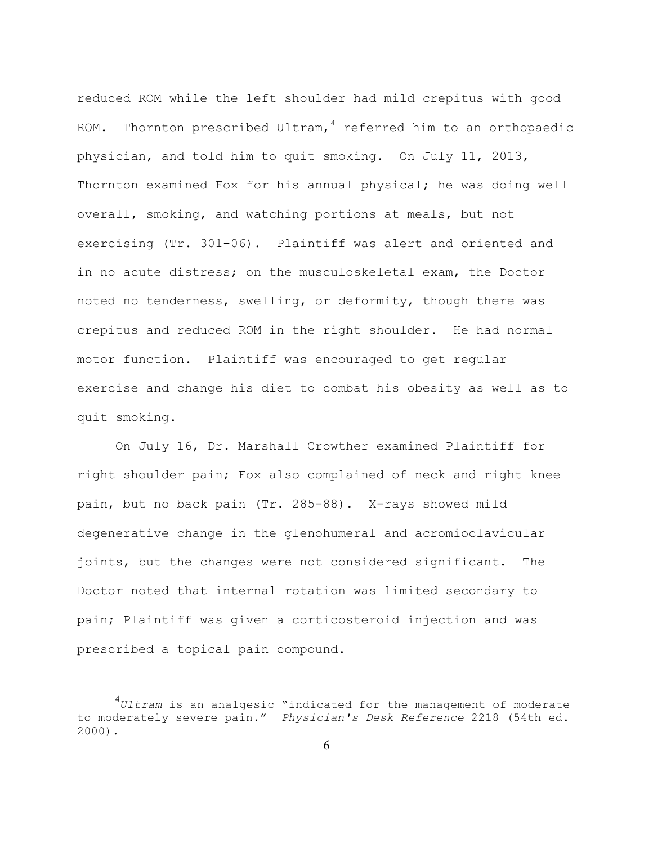reduced ROM while the left shoulder had mild crepitus with good ROM. Thornton prescribed Ultram, $4$  referred him to an orthopaedic physician, and told him to quit smoking. On July 11, 2013, Thornton examined Fox for his annual physical; he was doing well overall, smoking, and watching portions at meals, but not exercising (Tr. 301-06). Plaintiff was alert and oriented and in no acute distress; on the musculoskeletal exam, the Doctor noted no tenderness, swelling, or deformity, though there was crepitus and reduced ROM in the right shoulder. He had normal motor function. Plaintiff was encouraged to get regular exercise and change his diet to combat his obesity as well as to quit smoking.

On July 16, Dr. Marshall Crowther examined Plaintiff for right shoulder pain; Fox also complained of neck and right knee pain, but no back pain (Tr. 285-88). X-rays showed mild degenerative change in the glenohumeral and acromioclavicular joints, but the changes were not considered significant. The Doctor noted that internal rotation was limited secondary to pain; Plaintiff was given a corticosteroid injection and was prescribed a topical pain compound.

 $\frac{1}{4}$ *Ultram* is an analgesic "indicated for the management of moderate to moderately severe pain." *Physician's Desk Reference* 2218 (54th ed. 2000).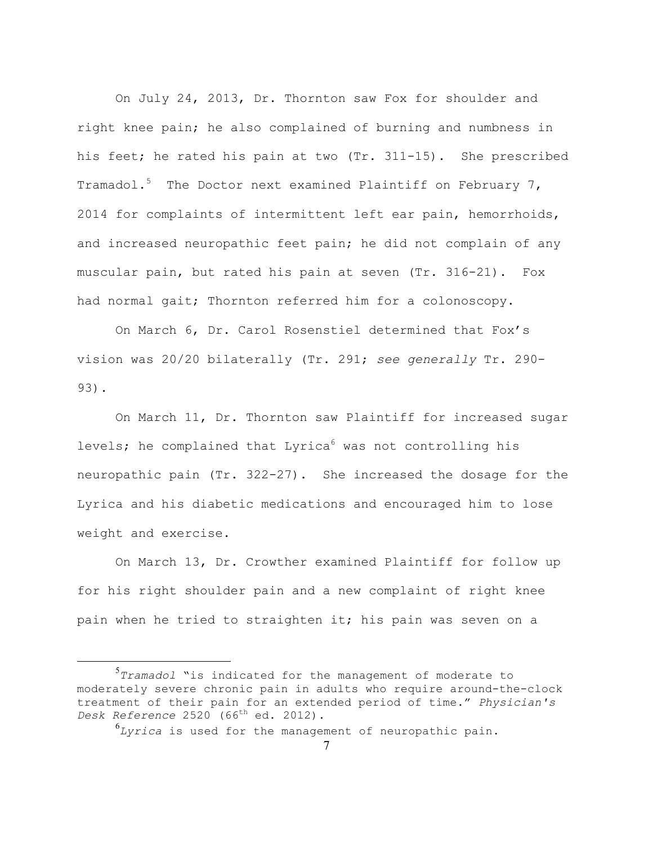On July 24, 2013, Dr. Thornton saw Fox for shoulder and right knee pain; he also complained of burning and numbness in his feet; he rated his pain at two (Tr. 311-15). She prescribed Tramadol.<sup>5</sup> The Doctor next examined Plaintiff on February 7, 2014 for complaints of intermittent left ear pain, hemorrhoids, and increased neuropathic feet pain; he did not complain of any muscular pain, but rated his pain at seven (Tr. 316-21). Fox had normal gait; Thornton referred him for a colonoscopy.

On March 6, Dr. Carol Rosenstiel determined that Fox's vision was 20/20 bilaterally (Tr. 291; *see generally* Tr. 290- 93).

On March 11, Dr. Thornton saw Plaintiff for increased sugar levels; he complained that Lyrica<sup>6</sup> was not controlling his neuropathic pain (Tr. 322-27). She increased the dosage for the Lyrica and his diabetic medications and encouraged him to lose weight and exercise.

On March 13, Dr. Crowther examined Plaintiff for follow up for his right shoulder pain and a new complaint of right knee pain when he tried to straighten it; his pain was seven on a

6 *Lyrica* is used for the management of neuropathic pain.

 $rac{1}{5}$ *Tramadol* "is indicated for the management of moderate to moderately severe chronic pain in adults who require around-the-clock treatment of their pain for an extended period of time." *Physician's Desk Reference* 2520 (66<sup>th</sup> ed. 2012).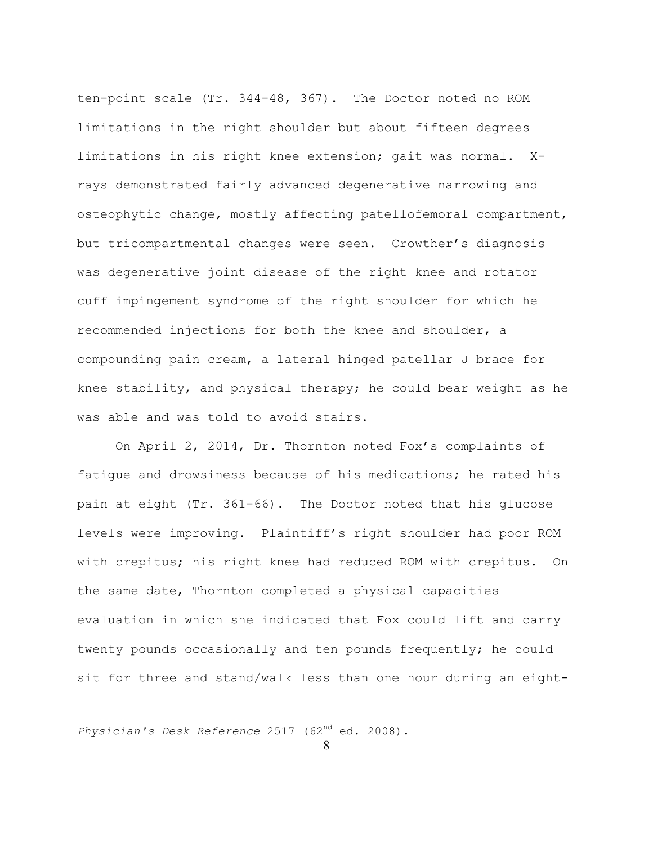ten-point scale (Tr. 344-48, 367). The Doctor noted no ROM limitations in the right shoulder but about fifteen degrees limitations in his right knee extension; gait was normal. Xrays demonstrated fairly advanced degenerative narrowing and osteophytic change, mostly affecting patellofemoral compartment, but tricompartmental changes were seen. Crowther's diagnosis was degenerative joint disease of the right knee and rotator cuff impingement syndrome of the right shoulder for which he recommended injections for both the knee and shoulder, a compounding pain cream, a lateral hinged patellar J brace for knee stability, and physical therapy; he could bear weight as he was able and was told to avoid stairs.

On April 2, 2014, Dr. Thornton noted Fox's complaints of fatigue and drowsiness because of his medications; he rated his pain at eight (Tr. 361-66). The Doctor noted that his glucose levels were improving. Plaintiff's right shoulder had poor ROM with crepitus; his right knee had reduced ROM with crepitus. On the same date, Thornton completed a physical capacities evaluation in which she indicated that Fox could lift and carry twenty pounds occasionally and ten pounds frequently; he could sit for three and stand/walk less than one hour during an eight-

*Physician's Desk Reference* 2517 (62nd ed. 2008).

1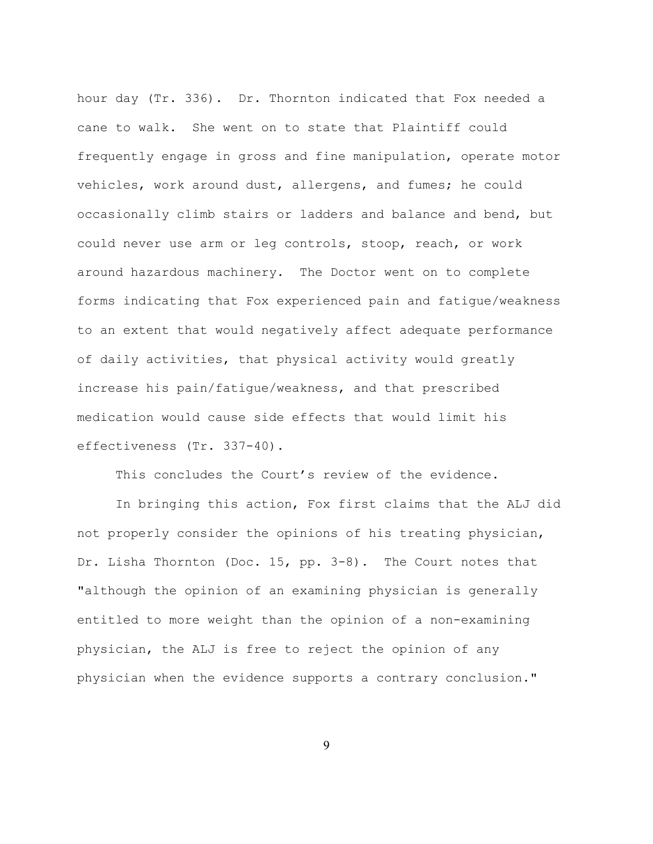hour day (Tr. 336). Dr. Thornton indicated that Fox needed a cane to walk. She went on to state that Plaintiff could frequently engage in gross and fine manipulation, operate motor vehicles, work around dust, allergens, and fumes; he could occasionally climb stairs or ladders and balance and bend, but could never use arm or leg controls, stoop, reach, or work around hazardous machinery. The Doctor went on to complete forms indicating that Fox experienced pain and fatigue/weakness to an extent that would negatively affect adequate performance of daily activities, that physical activity would greatly increase his pain/fatigue/weakness, and that prescribed medication would cause side effects that would limit his effectiveness (Tr. 337-40).

This concludes the Court's review of the evidence.

In bringing this action, Fox first claims that the ALJ did not properly consider the opinions of his treating physician, Dr. Lisha Thornton (Doc. 15, pp. 3-8). The Court notes that "although the opinion of an examining physician is generally entitled to more weight than the opinion of a non-examining physician, the ALJ is free to reject the opinion of any physician when the evidence supports a contrary conclusion."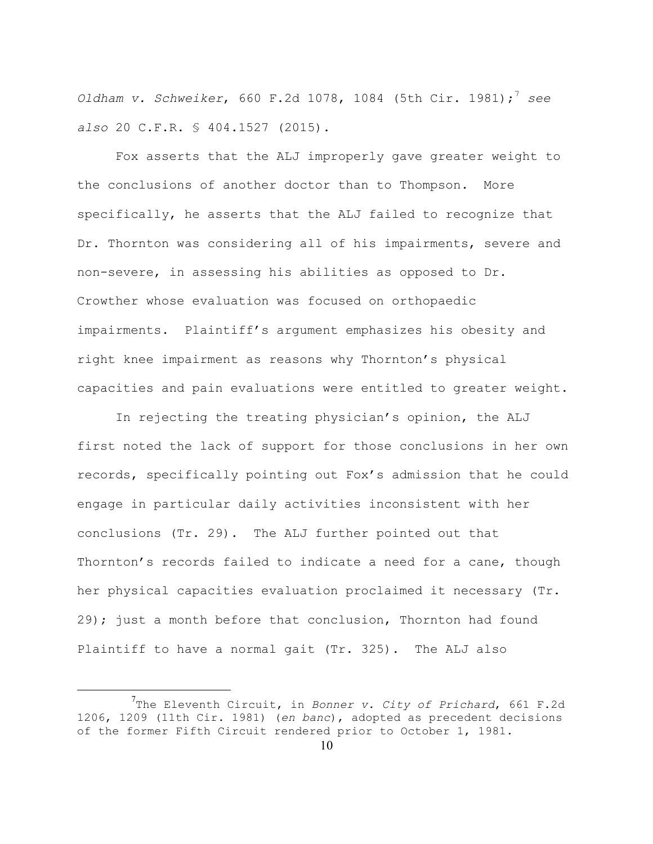*Oldham v. Schweiker,* 660 F.2d 1078, 1084 (5th Cir. 1981); see *also* 20 C.F.R. § 404.1527 (2015).

Fox asserts that the ALJ improperly gave greater weight to the conclusions of another doctor than to Thompson. More specifically, he asserts that the ALJ failed to recognize that Dr. Thornton was considering all of his impairments, severe and non-severe, in assessing his abilities as opposed to Dr. Crowther whose evaluation was focused on orthopaedic impairments. Plaintiff's argument emphasizes his obesity and right knee impairment as reasons why Thornton's physical capacities and pain evaluations were entitled to greater weight.

In rejecting the treating physician's opinion, the ALJ first noted the lack of support for those conclusions in her own records, specifically pointing out Fox's admission that he could engage in particular daily activities inconsistent with her conclusions (Tr. 29). The ALJ further pointed out that Thornton's records failed to indicate a need for a cane, though her physical capacities evaluation proclaimed it necessary (Tr. 29); just a month before that conclusion, Thornton had found Plaintiff to have a normal gait (Tr. 325). The ALJ also

<sup>7</sup> The Eleventh Circuit, in *Bonner v. City of Prichard*, 661 F.2d 1206, 1209 (11th Cir. 1981) (*en banc*), adopted as precedent decisions of the former Fifth Circuit rendered prior to October 1, 1981.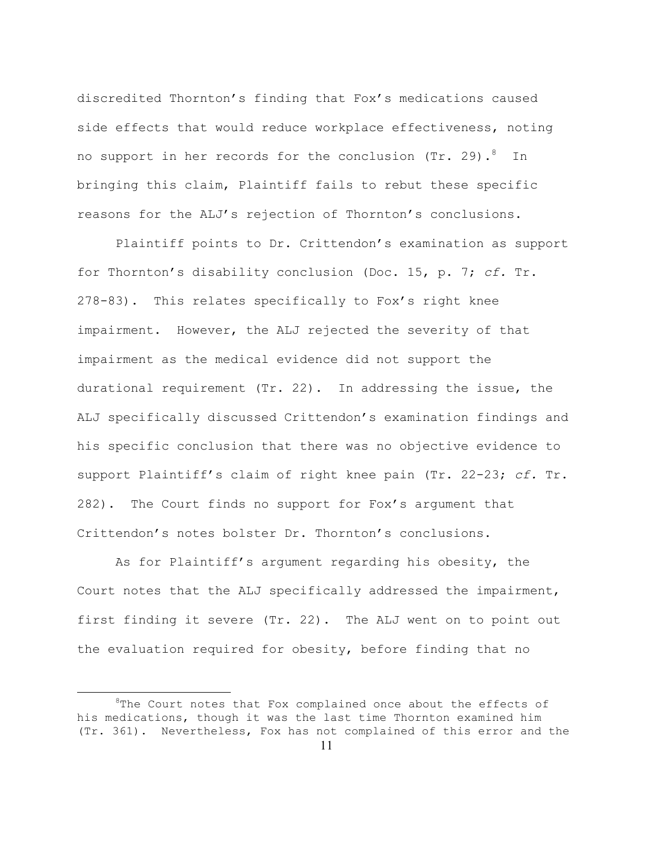discredited Thornton's finding that Fox's medications caused side effects that would reduce workplace effectiveness, noting no support in her records for the conclusion (Tr. 29).  $^8$  In bringing this claim, Plaintiff fails to rebut these specific reasons for the ALJ's rejection of Thornton's conclusions.

Plaintiff points to Dr. Crittendon's examination as support for Thornton's disability conclusion (Doc. 15, p. 7; *cf.* Tr. 278-83). This relates specifically to Fox's right knee impairment. However, the ALJ rejected the severity of that impairment as the medical evidence did not support the durational requirement (Tr. 22). In addressing the issue, the ALJ specifically discussed Crittendon's examination findings and his specific conclusion that there was no objective evidence to support Plaintiff's claim of right knee pain (Tr. 22-23; *cf.* Tr. 282). The Court finds no support for Fox's argument that Crittendon's notes bolster Dr. Thornton's conclusions.

As for Plaintiff's argument regarding his obesity, the Court notes that the ALJ specifically addressed the impairment, first finding it severe (Tr. 22). The ALJ went on to point out the evaluation required for obesity, before finding that no

 $\begin{array}{c|c}\n\hline\n\text{1} & \text{2} & \text{3} \\
\hline\n\end{array}$  ${}^{8}$ The Court notes that Fox complained once about the effects of his medications, though it was the last time Thornton examined him (Tr. 361). Nevertheless, Fox has not complained of this error and the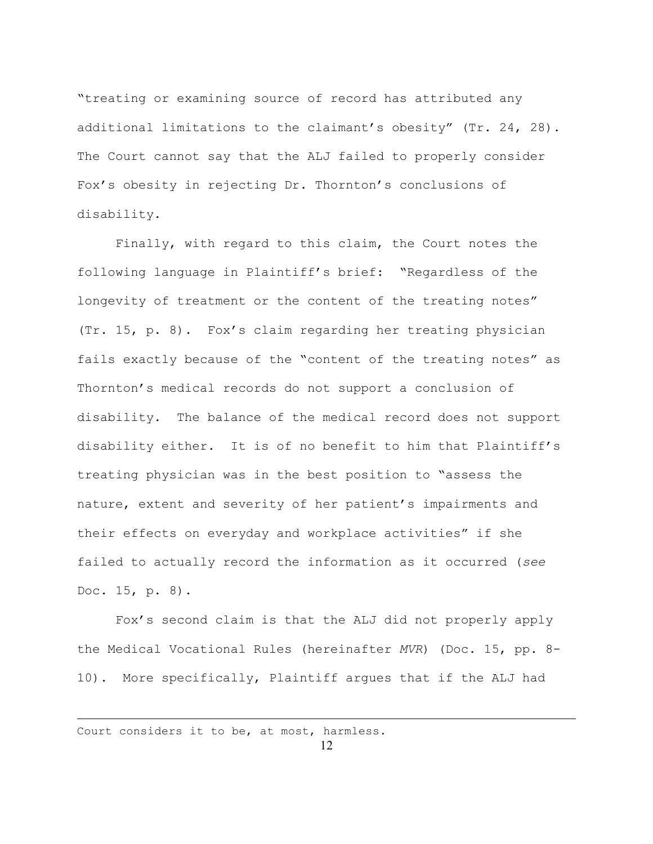"treating or examining source of record has attributed any additional limitations to the claimant's obesity" (Tr. 24, 28). The Court cannot say that the ALJ failed to properly consider Fox's obesity in rejecting Dr. Thornton's conclusions of disability.

Finally, with regard to this claim, the Court notes the following language in Plaintiff's brief: "Regardless of the longevity of treatment or the content of the treating notes" (Tr. 15, p. 8). Fox's claim regarding her treating physician fails exactly because of the "content of the treating notes" as Thornton's medical records do not support a conclusion of disability. The balance of the medical record does not support disability either. It is of no benefit to him that Plaintiff's treating physician was in the best position to "assess the nature, extent and severity of her patient's impairments and their effects on everyday and workplace activities" if she failed to actually record the information as it occurred (*see* Doc. 15, p. 8).

Fox's second claim is that the ALJ did not properly apply the Medical Vocational Rules (hereinafter *MVR*) (Doc. 15, pp. 8- 10). More specifically, Plaintiff argues that if the ALJ had

Court considers it to be, at most, harmless.

1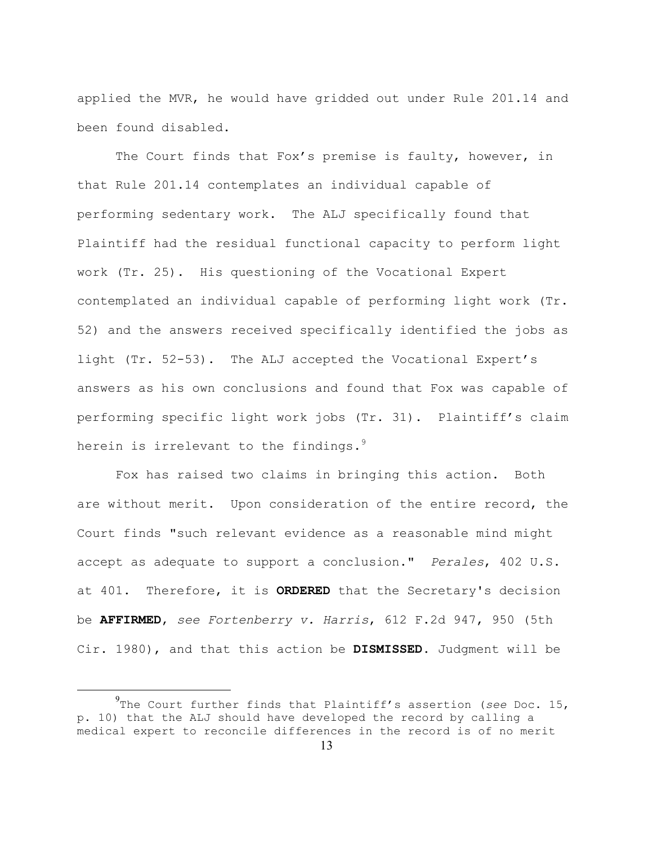applied the MVR, he would have gridded out under Rule 201.14 and been found disabled.

The Court finds that Fox's premise is faulty, however, in that Rule 201.14 contemplates an individual capable of performing sedentary work. The ALJ specifically found that Plaintiff had the residual functional capacity to perform light work (Tr. 25). His questioning of the Vocational Expert contemplated an individual capable of performing light work (Tr. 52) and the answers received specifically identified the jobs as light (Tr. 52-53). The ALJ accepted the Vocational Expert's answers as his own conclusions and found that Fox was capable of performing specific light work jobs (Tr. 31). Plaintiff's claim herein is irrelevant to the findings. $9$ 

Fox has raised two claims in bringing this action. Both are without merit. Upon consideration of the entire record, the Court finds "such relevant evidence as a reasonable mind might accept as adequate to support a conclusion." *Perales*, 402 U.S. at 401. Therefore, it is **ORDERED** that the Secretary's decision be **AFFIRMED**, *see Fortenberry v. Harris*, 612 F.2d 947, 950 (5th Cir. 1980), and that this action be **DISMISSED**. Judgment will be

 $\frac{1}{9}$ The Court further finds that Plaintiff's assertion (*see* Doc. 15, p. 10) that the ALJ should have developed the record by calling a medical expert to reconcile differences in the record is of no merit